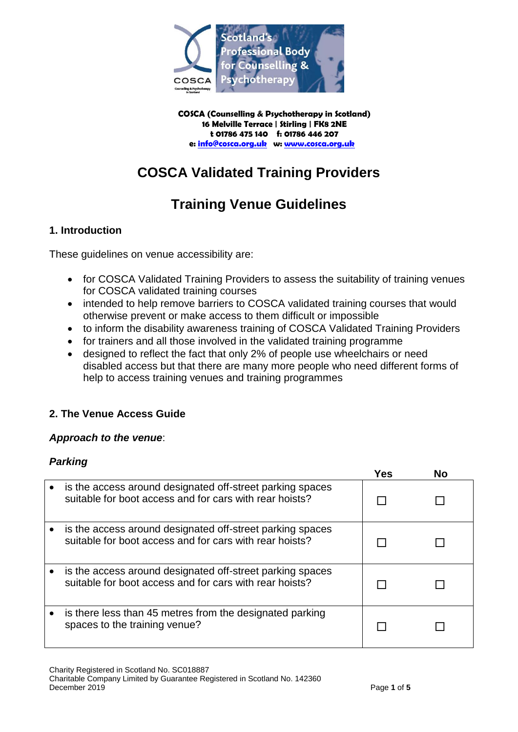

**COSCA (Counselling & Psychotherapy in Scotland) 16 Melville Terrace | Stirling | FK8 2NE t 01786 475 140 f: 01786 446 207 e[: info@cosca.org.uk](mailto:info@cosca.org.uk) w: [www.cosca.org.uk](http://www.cosca.org.uk/)**

# **COSCA Validated Training Providers**

# **Training Venue Guidelines**

# **1. Introduction**

These guidelines on venue accessibility are:

- for COSCA Validated Training Providers to assess the suitability of training venues for COSCA validated training courses
- intended to help remove barriers to COSCA validated training courses that would otherwise prevent or make access to them difficult or impossible
- to inform the disability awareness training of COSCA Validated Training Providers
- for trainers and all those involved in the validated training programme
- designed to reflect the fact that only 2% of people use wheelchairs or need disabled access but that there are many more people who need different forms of help to access training venues and training programmes

# **2. The Venue Access Guide**

#### *Approach to the venue*:

#### *Parking*

|                                                                                                                      | Yes | Nο |
|----------------------------------------------------------------------------------------------------------------------|-----|----|
| is the access around designated off-street parking spaces<br>suitable for boot access and for cars with rear hoists? |     |    |
| is the access around designated off-street parking spaces<br>suitable for boot access and for cars with rear hoists? |     |    |
| is the access around designated off-street parking spaces<br>suitable for boot access and for cars with rear hoists? |     |    |
| is there less than 45 metres from the designated parking<br>spaces to the training venue?                            |     |    |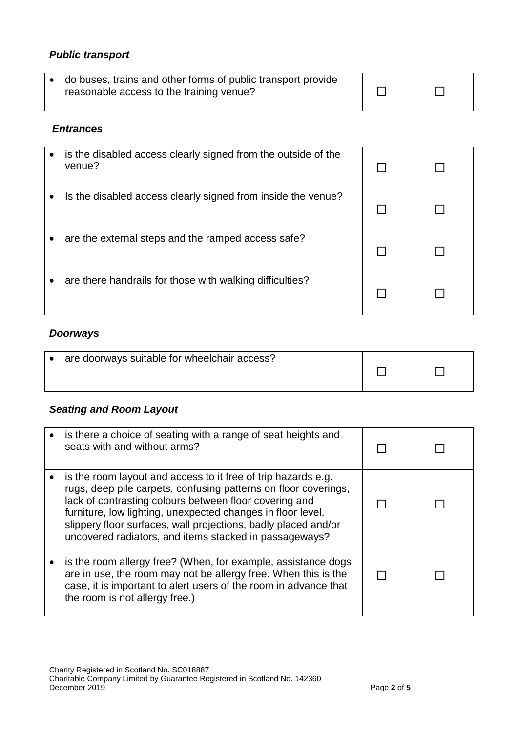# *Public transport*

| • do buses, trains and other forms of public transport provide |  |  |
|----------------------------------------------------------------|--|--|
| reasonable access to the training venue?                       |  |  |

#### *Entrances*

| $\bullet$ | is the disabled access clearly signed from the outside of the<br>venue? |  |
|-----------|-------------------------------------------------------------------------|--|
|           | Is the disabled access clearly signed from inside the venue?            |  |
|           | are the external steps and the ramped access safe?                      |  |
|           | are there handrails for those with walking difficulties?                |  |

#### *Doorways*

| are doorways suitable for wheelchair access? |  |
|----------------------------------------------|--|
|                                              |  |
|                                              |  |

# *Seating and Room Layout*

| is there a choice of seating with a range of seat heights and<br>seats with and without arms?                                                                                                                                                                                                                                                                                         |  |
|---------------------------------------------------------------------------------------------------------------------------------------------------------------------------------------------------------------------------------------------------------------------------------------------------------------------------------------------------------------------------------------|--|
| is the room layout and access to it free of trip hazards e.g.<br>rugs, deep pile carpets, confusing patterns on floor coverings,<br>lack of contrasting colours between floor covering and<br>furniture, low lighting, unexpected changes in floor level,<br>slippery floor surfaces, wall projections, badly placed and/or<br>uncovered radiators, and items stacked in passageways? |  |
| is the room allergy free? (When, for example, assistance dogs<br>are in use, the room may not be allergy free. When this is the<br>case, it is important to alert users of the room in advance that<br>the room is not allergy free.)                                                                                                                                                 |  |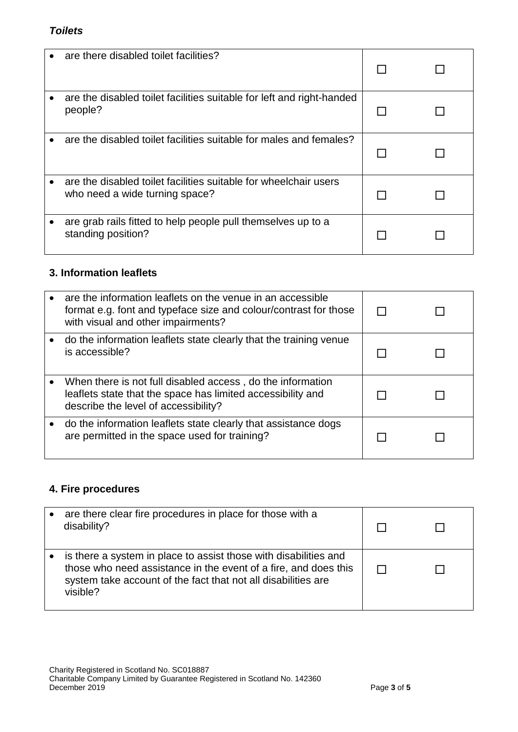#### *Toilets*

| are there disabled toilet facilities?                                                              |  |
|----------------------------------------------------------------------------------------------------|--|
| are the disabled toilet facilities suitable for left and right-handed<br>people?                   |  |
| are the disabled toilet facilities suitable for males and females?                                 |  |
| are the disabled toilet facilities suitable for wheelchair users<br>who need a wide turning space? |  |
| are grab rails fitted to help people pull themselves up to a<br>standing position?                 |  |

# **3. Information leaflets**

| are the information leaflets on the venue in an accessible<br>format e.g. font and typeface size and colour/contrast for those<br>with visual and other impairments? |  |
|----------------------------------------------------------------------------------------------------------------------------------------------------------------------|--|
| do the information leaflets state clearly that the training venue<br>is accessible?                                                                                  |  |
| When there is not full disabled access, do the information<br>leaflets state that the space has limited accessibility and<br>describe the level of accessibility?    |  |
| do the information leaflets state clearly that assistance dogs<br>are permitted in the space used for training?                                                      |  |

# **4. Fire procedures**

| are there clear fire procedures in place for those with a<br>disability?                                                                                                                                         |  |
|------------------------------------------------------------------------------------------------------------------------------------------------------------------------------------------------------------------|--|
| is there a system in place to assist those with disabilities and<br>those who need assistance in the event of a fire, and does this<br>system take account of the fact that not all disabilities are<br>visible? |  |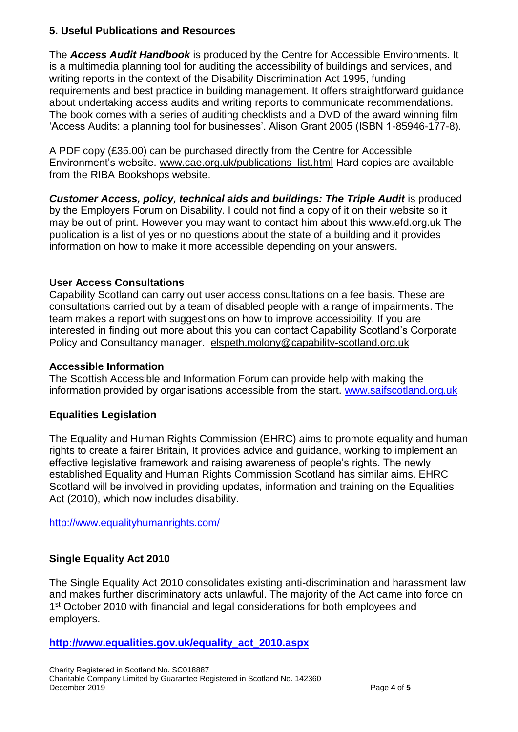### **5. Useful Publications and Resources**

The *Access Audit Handbook* is produced by the Centre for Accessible Environments. It is a multimedia planning tool for auditing the accessibility of buildings and services, and writing reports in the context of the Disability Discrimination Act 1995, funding requirements and best practice in building management. It offers straightforward guidance about undertaking access audits and writing reports to communicate recommendations. The book comes with a series of auditing checklists and a DVD of the award winning film 'Access Audits: a planning tool for businesses'. Alison Grant 2005 (ISBN 1-85946-177-8).

A PDF copy (£35.00) can be purchased directly from the Centre for Accessible Environment's website. [www.cae.org.uk/publications\\_list.html](http://www.cae.org.uk/publications_list.html) Hard copies are available from the [RIBA Bookshops website.](http://www.ribabookshops.com/)

**Customer Access, policy, technical aids and buildings: The Triple Audit** is produced by the Employers Forum on Disability. I could not find a copy of it on their website so it may be out of print. However you may want to contact him about this www.efd.org.uk The publication is a list of yes or no questions about the state of a building and it provides information on how to make it more accessible depending on your answers.

## **User Access Consultations**

Capability Scotland can carry out user access consultations on a fee basis. These are consultations carried out by a team of disabled people with a range of impairments. The team makes a report with suggestions on how to improve accessibility. If you are interested in finding out more about this you can contact Capability Scotland's Corporate Policy and Consultancy manager. [elspeth.molony@capability-scotland.org.uk](mailto:elspeth.molony@capability-scotland.org.uk)

#### **Accessible Information**

The Scottish Accessible and Information Forum can provide help with making the information provided by organisations accessible from the start. [www.saifscotland.org.uk](http://www.saifscotland.org.uk/)

#### **Equalities Legislation**

The Equality and Human Rights Commission (EHRC) aims to promote equality and human rights to create a fairer Britain, It provides advice and guidance, working to implement an effective legislative framework and raising awareness of people's rights. The newly established Equality and Human Rights Commission Scotland has similar aims. EHRC Scotland will be involved in providing updates, information and training on the Equalities Act (2010), which now includes disability.

<http://www.equalityhumanrights.com/>

## **Single Equality Act 2010**

The Single Equality Act 2010 consolidates existing anti-discrimination and harassment law and makes further discriminatory acts unlawful. The majority of the Act came into force on 1<sup>st</sup> October 2010 with financial and legal considerations for both employees and employers.

#### **[http://www.equalities.gov.uk/equality\\_act\\_2010.aspx](http://www.equalities.gov.uk/equality_act_2010.aspx)**